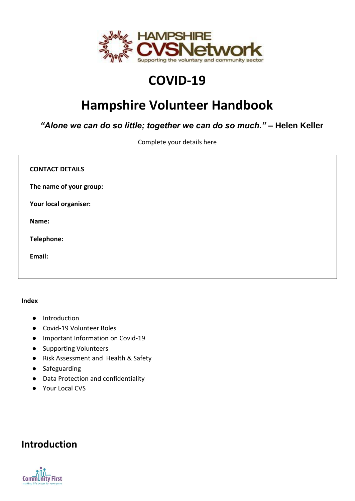

# **COVID-19**

# **Hampshire Volunteer Handbook**

*"Alone we can do so little; together we can do so much."* **– Helen Keller**

Complete your details here

| <b>CONTACT DETAILS</b>  |  |
|-------------------------|--|
| The name of your group: |  |
| Your local organiser:   |  |
| Name:                   |  |
| Telephone:              |  |
| Email:                  |  |
|                         |  |

#### **Index**

- Introduction
- Covid-19 Volunteer Roles
- Important Information on Covid-19
- Supporting Volunteers
- Risk Assessment and Health & Safety
- Safeguarding
- Data Protection and confidentiality
- Your Local CVS

### **Introduction**

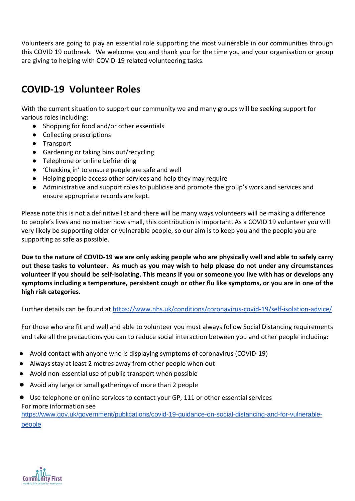Volunteers are going to play an essential role supporting the most vulnerable in our communities through this COVID 19 outbreak. We welcome you and thank you for the time you and your organisation or group are giving to helping with COVID-19 related volunteering tasks.

### **COVID-19 Volunteer Roles**

With the current situation to support our community we and many groups will be seeking support for various roles including:

- Shopping for food and/or other essentials
- Collecting prescriptions
- Transport
- Gardening or taking bins out/recycling
- Telephone or online befriending
- 'Checking in' to ensure people are safe and well
- Helping people access other services and help they may require
- Administrative and support roles to publicise and promote the group's work and services and ensure appropriate records are kept.

Please note this is not a definitive list and there will be many ways volunteers will be making a difference to people's lives and no matter how small, this contribution is important. As a COVID 19 volunteer you will very likely be supporting older or vulnerable people, so our aim is to keep you and the people you are supporting as safe as possible.

**Due to the nature of COVID-19 we are only asking people who are physically well and able to safely carry out these tasks to volunteer. As much as you may wish to help please do not under any circumstances volunteer if you should be self-isolating. This means if you or someone you live with has or develops any symptoms including a temperature, persistent cough or other flu like symptoms, or you are in one of the high risk categories.** 

Further details can be found at<https://www.nhs.uk/conditions/coronavirus-covid-19/self-isolation-advice/>

For those who are fit and well and able to volunteer you must always follow Social Distancing requirements and take all the precautions you can to reduce social interaction between you and other people including:

- Avoid contact with anyone who is displaying symptoms of coronavirus (COVID-19)
- Always stay at least 2 metres away from other people when out
- Avoid non-essential use of public transport when possible
- Avoid any large or small gatherings of more than 2 people
- Use telephone or online services to contact your GP, 111 or other essential services For more information see [https://www.gov.uk/government/publications/covid-19-guidance-on-social-distancing-and-for-vulnerable-](https://www.gov.uk/government/publications/covid-19-guidance-on-social-distancing-and-for-vulnerable-people)

[people](https://www.gov.uk/government/publications/covid-19-guidance-on-social-distancing-and-for-vulnerable-people)

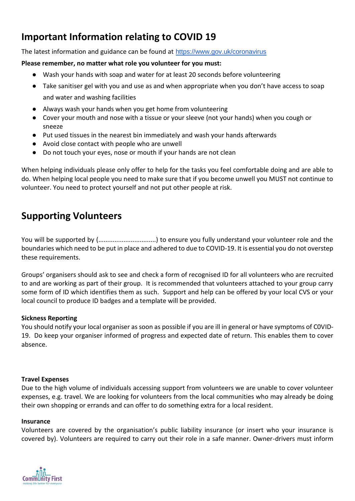# **Important Information relating to COVID 19**

The latest information and guidance can be found at <https://www.gov.uk/coronavirus>

#### **Please remember, no matter what role you volunteer for you must:**

- Wash your hands with soap and water for at least 20 seconds before volunteering
- Take sanitiser gel with you and use as and when appropriate when you don't have access to soap and water and washing facilities
- Always wash your hands when you get home from volunteering
- Cover your mouth and nose with a tissue or your sleeve (not your hands) when you cough or sneeze
- Put used tissues in the nearest bin immediately and wash your hands afterwards
- Avoid close contact with people who are unwell
- Do not touch your eyes, nose or mouth if your hands are not clean

When helping individuals please only offer to help for the tasks you feel comfortable doing and are able to do. When helping local people you need to make sure that if you become unwell you MUST not continue to volunteer. You need to protect yourself and not put other people at risk.

### **Supporting Volunteers**

You will be supported by (................................) to ensure you fully understand your volunteer role and the boundaries which need to be put in place and adhered to due to COVID-19. It is essential you do not overstep these requirements.

Groups' organisers should ask to see and check a form of recognised ID for all volunteers who are recruited to and are working as part of their group. It is recommended that volunteers attached to your group carry some form of ID which identifies them as such. Support and help can be offered by your local CVS or your local council to produce ID badges and a template will be provided.

#### **Sickness Reporting**

You should notify your local organiser as soon as possible if you are ill in general or have symptoms of C0VID-19. Do keep your organiser informed of progress and expected date of return. This enables them to cover absence.

#### **Travel Expenses**

Due to the high volume of individuals accessing support from volunteers we are unable to cover volunteer expenses, e.g. travel. We are looking for volunteers from the local communities who may already be doing their own shopping or errands and can offer to do something extra for a local resident.

#### **Insurance**

Volunteers are covered by the organisation's public liability insurance (or insert who your insurance is covered by). Volunteers are required to carry out their role in a safe manner. Owner-drivers must inform

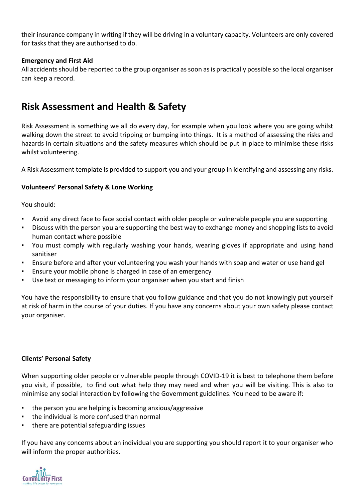their insurance company in writing if they will be driving in a voluntary capacity. Volunteers are only covered for tasks that they are authorised to do.

#### **Emergency and First Aid**

All accidents should be reported to the group organiser as soon as is practically possible so the local organiser can keep a record.

### **Risk Assessment and Health & Safety**

Risk Assessment is something we all do every day, for example when you look where you are going whilst walking down the street to avoid tripping or bumping into things. It is a method of assessing the risks and hazards in certain situations and the safety measures which should be put in place to minimise these risks whilst volunteering.

A Risk Assessment template is provided to support you and your group in identifying and assessing any risks.

#### **Volunteers' Personal Safety & Lone Working**

You should:

- Avoid any direct face to face social contact with older people or vulnerable people you are supporting
- Discuss with the person you are supporting the best way to exchange money and shopping lists to avoid human contact where possible
- You must comply with regularly washing your hands, wearing gloves if appropriate and using hand sanitiser
- Ensure before and after your volunteering you wash your hands with soap and water or use hand gel
- Ensure your mobile phone is charged in case of an emergency
- Use text or messaging to inform your organiser when you start and finish

You have the responsibility to ensure that you follow guidance and that you do not knowingly put yourself at risk of harm in the course of your duties. If you have any concerns about your own safety please contact your organiser.

#### **Clients' Personal Safety**

When supporting older people or vulnerable people through COVID-19 it is best to telephone them before you visit, if possible, to find out what help they may need and when you will be visiting. This is also to minimise any social interaction by following the Government guidelines. You need to be aware if:

- the person you are helping is becoming anxious/aggressive
- the individual is more confused than normal
- there are potential safeguarding issues

If you have any concerns about an individual you are supporting you should report it to your organiser who will inform the proper authorities.

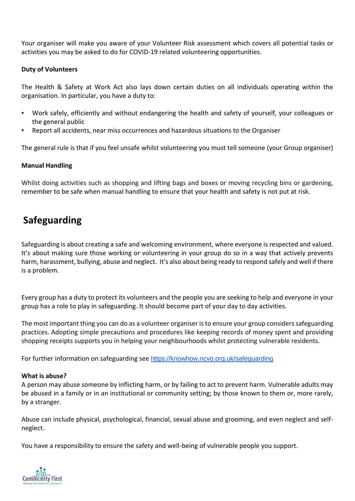Your organiser will make you aware of your Volunteer Risk assessment which covers all potential tasks or activities you may be asked to do for COVID-19 related volunteering opportunities.

#### **Duty of Volunteers**

The Health & Safety at Work Act also lays down certain duties on all individuals operating within the organisation. In particular, you have a duty to:

- Work safely, efficiently and without endangering the health and safety of yourself, your colleagues or the general public
- Report all accidents, near miss occurrences and hazardous situations to the Organiser

The general rule is that if you feel unsafe whilst volunteering you must tell someone (your Group organiser)

#### **Manual Handling**

Whilst doing activities such as shopping and lifting bags and boxes or moving recycling bins or gardening, remember to be safe when manual handling to ensure that your health and safety is not put at risk.

### **Safeguarding**

Safeguarding is about creating a safe and welcoming environment, where everyone is respected and valued. It's about making sure those working or volunteering in your group do so in a way that actively prevents harm, harassment, bullying, abuse and neglect. It's also about being ready to respond safely and well if there is a problem.

Every group has a duty to protect its volunteers and the people you are seeking to help and everyone in your group has a role to play in safeguarding. It should become part of your day to day activities.

The most important thing you can do as a volunteer organiser is to ensure your group considers safeguarding practices. Adopting simple precautions and procedures like keeping records of money spent and providing shopping receipts supports you in helping your neighbourhoods whilst protecting vulnerable residents.

For further information on safeguarding see <https://knowhow.ncvo.org.uk/safeguarding>

#### **What is abuse?**

A person may abuse someone by inflicting harm, or by failing to act to prevent harm. Vulnerable adults may be abused in a family or in an institutional or community setting; by those known to them or, more rarely, by a stranger.

Abuse can include physical, psychological, financial, sexual abuse and grooming, and even neglect and selfneglect.

You have a responsibility to ensure the safety and well-being of vulnerable people you support.

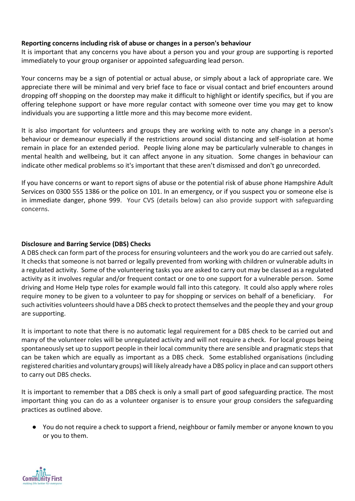#### **Reporting concerns including risk of abuse or changes in a person's behaviour**

It is important that any concerns you have about a person you and your group are supporting is reported immediately to your group organiser or appointed safeguarding lead person.

Your concerns may be a sign of potential or actual abuse, or simply about a lack of appropriate care. We appreciate there will be minimal and very brief face to face or visual contact and brief encounters around dropping off shopping on the doorstep may make it difficult to highlight or identify specifics, but if you are offering telephone support or have more regular contact with someone over time you may get to know individuals you are supporting a little more and this may become more evident.

It is also important for volunteers and groups they are working with to note any change in a person's behaviour or demeanour especially if the restrictions around social distancing and self-isolation at home remain in place for an extended period. People living alone may be particularly vulnerable to changes in mental health and wellbeing, but it can affect anyone in any situation. Some changes in behaviour can indicate other medical problems so it's important that these aren't dismissed and don't go unrecorded.

If you have concerns or want to report signs of abuse or the potential risk of abuse phone Hampshire Adult Services on 0300 555 1386 or the police on 101. In an emergency, or if you suspect you or someone else is in immediate danger, phone 999. Your CVS (details below) can also provide support with safeguarding concerns.

#### **Disclosure and Barring Service (DBS) Checks**

A DBS check can form part of the process for ensuring volunteers and the work you do are carried out safely. It checks that someone is not barred or legally prevented from working with children or vulnerable adults in a regulated activity. Some of the volunteering tasks you are asked to carry out may be classed as a regulated activity as it involves regular and/or frequent contact or one to one support for a vulnerable person. Some driving and Home Help type roles for example would fall into this category. It could also apply where roles require money to be given to a volunteer to pay for shopping or services on behalf of a beneficiary. For such activities volunteers should have a DBS check to protect themselves and the people they and your group are supporting.

It is important to note that there is no automatic legal requirement for a DBS check to be carried out and many of the volunteer roles will be unregulated activity and will not require a check. For local groups being spontaneously set up to support people in their local community there are sensible and pragmatic steps that can be taken which are equally as important as a DBS check. Some established organisations (including registered charities and voluntary groups) will likely already have a DBS policy in place and can support others to carry out DBS checks.

It is important to remember that a DBS check is only a small part of good safeguarding practice. The most important thing you can do as a volunteer organiser is to ensure your group considers the safeguarding practices as outlined above.

● You do not require a check to support a friend, neighbour or family member or anyone known to you or you to them.

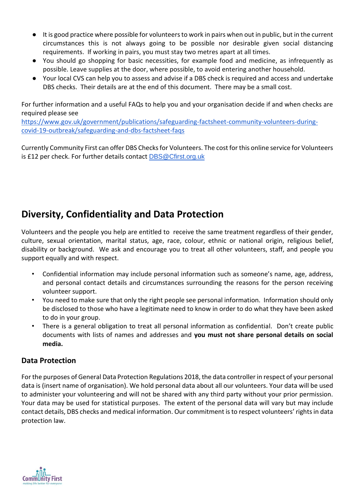- It is good practice where possible for volunteers to work in pairs when out in public, but in the current circumstances this is not always going to be possible nor desirable given social distancing requirements. If working in pairs, you must stay two metres apart at all times.
- You should go shopping for basic necessities, for example food and medicine, as infrequently as possible. Leave supplies at the door, where possible, to avoid entering another household.
- Your local CVS can help you to assess and advise if a DBS check is required and access and undertake DBS checks. Their details are at the end of this document. There may be a small cost.

For further information and a useful FAQs to help you and your organisation decide if and when checks are required please see

[https://www.gov.uk/government/publications/safeguarding-factsheet-community-volunteers-during](https://www.gov.uk/government/publications/safeguarding-factsheet-community-volunteers-during-covid-19-outbreak/safeguarding-and-dbs-factsheet-faqs)[covid-19-outbreak/safeguarding-and-dbs-factsheet-faqs](https://www.gov.uk/government/publications/safeguarding-factsheet-community-volunteers-during-covid-19-outbreak/safeguarding-and-dbs-factsheet-faqs)

Currently Community First can offer DBS Checks for Volunteers. The cost for this online service for Volunteers is £12 per check. For further details contact [DBS@Cfirst.org.uk](mailto:DBS@Cfirst.org.uk)

## **Diversity, Confidentiality and Data Protection**

Volunteers and the people you help are entitled to receive the same treatment regardless of their gender, culture, sexual orientation, marital status, age, race, colour, ethnic or national origin, religious belief, disability or background. We ask and encourage you to treat all other volunteers, staff, and people you support equally and with respect.

- Confidential information may include personal information such as someone's name, age, address, and personal contact details and circumstances surrounding the reasons for the person receiving volunteer support.
- You need to make sure that only the right people see personal information. Information should only be disclosed to those who have a legitimate need to know in order to do what they have been asked to do in your group.
- There is a general obligation to treat all personal information as confidential. Don't create public documents with lists of names and addresses and **you must not share personal details on social media.**

### **Data Protection**

For the purposes of General Data Protection Regulations 2018, the data controller in respect of your personal data is (insert name of organisation). We hold personal data about all our volunteers. Your data will be used to administer your volunteering and will not be shared with any third party without your prior permission. Your data may be used for statistical purposes. The extent of the personal data will vary but may include contact details, DBS checks and medical information. Our commitment is to respect volunteers' rights in data protection law.

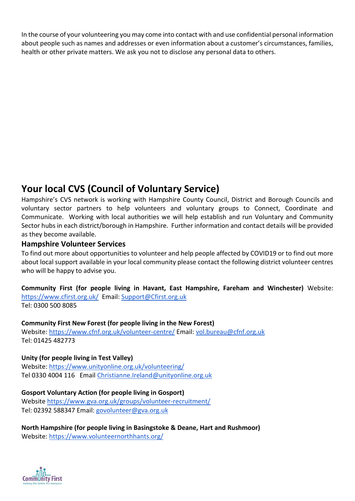In the course of your volunteering you may come into contact with and use confidential personal information about people such as names and addresses or even information about a customer's circumstances, families, health or other private matters. We ask you not to disclose any personal data to others.

# **Your local CVS (Council of Voluntary Service)**

Hampshire's CVS network is working with Hampshire County Council, District and Borough Councils and voluntary sector partners to help volunteers and voluntary groups to Connect, Coordinate and Communicate. Working with local authorities we will help establish and run Voluntary and Community Sector hubs in each district/borough in Hampshire. Further information and contact details will be provided as they become available.

### **Hampshire Volunteer Services**

To find out more about opportunities to volunteer and help people affected by COVID19 or to find out more about local support available in your local community please contact the following district volunteer centres who will be happy to advise you.

**Community First (for people living in Havant, East Hampshire, Fareham and Winchester)** Website: <https://www.cfirst.org.uk/>Email[: Support@Cfirst.org.uk](mailto:Support@Cfirst.org.uk) Tel: 0300 500 8085

#### **Community First New Forest (for people living in the New Forest)**

Website: <https://www.cfnf.org.uk/volunteer-centre/> Email[: vol.bureau@cfnf.org.uk](mailto:vol.bureau@cfnf.org.uk) Tel: 01425 482773

**Unity (for people living in Test Valley)**  Website:<https://www.unityonline.org.uk/volunteering/> Tel 0330 4004 116 Email [Christianne.Ireland@unityonline.org.uk](mailto:Christianne.Ireland@unityonline.org.uk)

### **Gosport Voluntary Action (for people living in Gosport)**

Website<https://www.gva.org.uk/groups/volunteer-recruitment/> Tel: 02392 588347 Email: [govolunteer@gva.org.uk](mailto:govolunteer@gva.org.uk)

**North Hampshire (for people living in Basingstoke & Deane, Hart and Rushmoor)**  Website:<https://www.volunteernorthhants.org/>